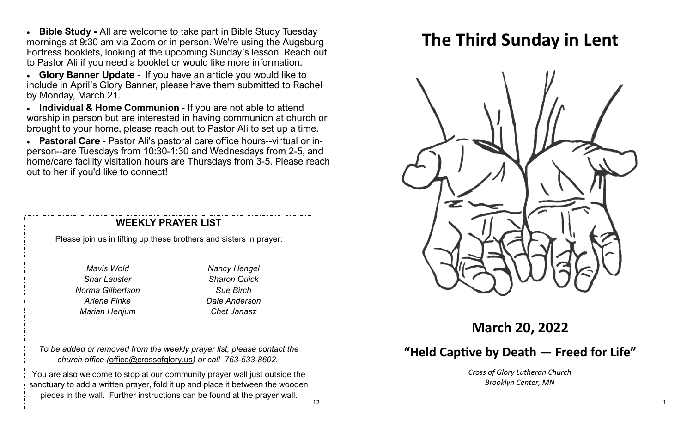• **Bible Study -** All are welcome to take part in Bible Study Tuesday mornings at 9:30 am via Zoom or in person. We're using the Augsburg Fortress booklets, looking at the upcoming Sunday's lesson. Reach out to Pastor Ali if you need a booklet or would like more information.

• **Glory Banner Update -** If you have an article you would like to include in April's Glory Banner, please have them submitted to Rachel by Monday, March 21.

• **Individual & Home Communion** - If you are not able to attend worship in person but are interested in having communion at church or brought to your home, please reach out to Pastor Ali to set up a time.

• **Pastoral Care -** Pastor Ali's pastoral care office hours--virtual or inperson--are Tuesdays from 10:30-1:30 and Wednesdays from 2-5, and home/care facility visitation hours are Thursdays from 3-5. Please reach out to her if you'd like to connect!

#### **WEEKLY PRAYER LIST**

Please join us in lifting up these brothers and sisters in prayer:

*Mavis Wold Shar Lauster Norma Gilbertson Arlene Finke Marian Henjum*

*Nancy Hengel Sharon Quick Sue Birch Dale Anderson Chet Janasz*

12

*To be added or removed from the weekly prayer list, please contact the church office (*[office@crossofglory.us](mailto:office@crossofglory.us)*) or call 763-533-8602.*

You are also welcome to stop at our community prayer wall just outside the sanctuary to add a written prayer, fold it up and place it between the wooden pieces in the wall. Further instructions can be found at the prayer wall.

# **The Third Sunday in Lent**



**March 20, 2022**

# **"Held Captive by Death — Freed for Life"**

*Cross of Glory Lutheran Church Brooklyn Center, MN*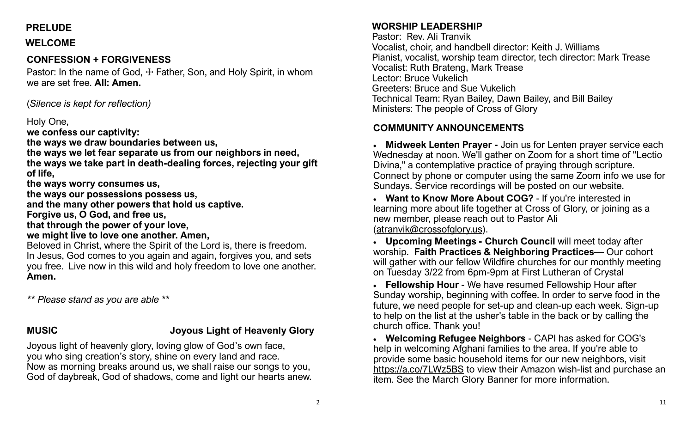# **PRELUDE**

### **WELCOME**

# **CONFESSION + FORGIVENESS**

Pastor: In the name of God,  $\pm$  Father, Son, and Holy Spirit, in whom we are set free. **All: Amen.**

(*Silence is kept for reflection)*

### Holy One,

**we confess our captivity:**

**the ways we draw boundaries between us,**

**the ways we let fear separate us from our neighbors in need,**

**the ways we take part in death-dealing forces, rejecting your gift of life,**

**the ways worry consumes us,**

**the ways our possessions possess us,**

**and the many other powers that hold us captive.**

**Forgive us, O God, and free us,**

**that through the power of your love,**

**we might live to love one another. Amen,**

Beloved in Christ, where the Spirit of the Lord is, there is freedom. In Jesus, God comes to you again and again, forgives you, and sets you free.Live now in this wild and holy freedom to love one another. **Amen.**

*\*\* Please stand as you are able \*\**

# **MUSIC Joyous Light of Heavenly Glory**

Joyous light of heavenly glory, loving glow of God's own face, you who sing creation's story, shine on every land and race. Now as morning breaks around us, we shall raise our songs to you, God of daybreak, God of shadows, come and light our hearts anew.

# **WORSHIP LEADERSHIP**

Pastor: Rev. Ali Tranvik Vocalist, choir, and handbell director: Keith J. Williams Pianist, vocalist, worship team director, tech director: Mark Trease Vocalist: Ruth Brateng, Mark Trease Lector: Bruce Vukelich Greeters: Bruce and Sue Vukelich Technical Team: Ryan Bailey, Dawn Bailey, and Bill Bailey Ministers: The people of Cross of Glory

# **COMMUNITY ANNOUNCEMENTS**

• **Midweek Lenten Prayer -** Join us for Lenten prayer service each Wednesday at noon. We'll gather on Zoom for a short time of "Lectio Divina," a contemplative practice of praying through scripture. Connect by phone or computer using the same Zoom info we use for Sundays. Service recordings will be posted on our website.

• **Want to Know More About COG?** - If you're interested in learning more about life together at Cross of Glory, or joining as a new member, please reach out to Pastor Ali ([atranvik@crossofglory.us\)](mailto:atranvik@crossofglory.us).

• **Upcoming Meetings - Church Council** will meet today after worship. **Faith Practices & Neighboring Practices**— Our cohort will gather with our fellow Wildfire churches for our monthly meeting on Tuesday 3/22 from 6pm-9pm at First Lutheran of Crystal

• **Fellowship Hour** - We have resumed Fellowship Hour after Sunday worship, beginning with coffee. In order to serve food in the future, we need people for set-up and clean-up each week. Sign-up to help on the list at the usher's table in the back or by calling the church office. Thank you!

• **Welcoming Refugee Neighbors** - CAPI has asked for COG's help in welcoming Afghani families to the area. If you're able to provide some basic household items for our new neighbors, visit <https://a.co/7LWz5BS> to view their Amazon wish-list and purchase an item. See the March Glory Banner for more information.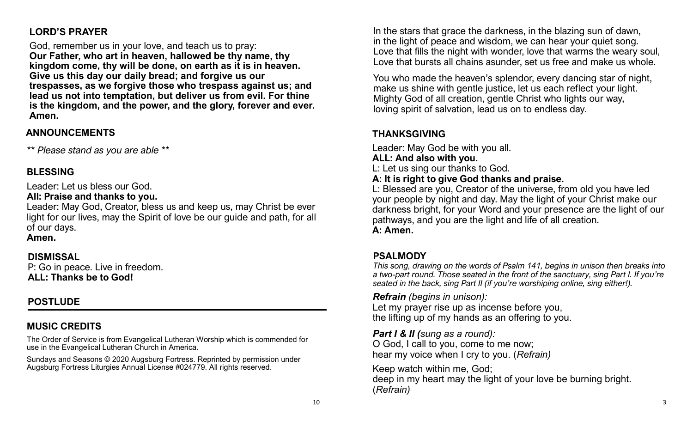# **LORD'S PRAYER**

God, remember us in your love, and teach us to pray: **Our Father, who art in heaven, hallowed be thy name, thy kingdom come, thy will be done, on earth as it is in heaven. Give us this day our daily bread; and forgive us our trespasses, as we forgive those who trespass against us; and lead us not into temptation, but deliver us from evil. For thine is the kingdom, and the power, and the glory, forever and ever. Amen.**

### **ANNOUNCEMENTS**

*\*\* Please stand as you are able \*\**

# **BLESSING**

Leader: Let us bless our God.

**All: Praise and thanks to you.**

Leader: May God, Creator, bless us and keep us, may Christ be ever light for our lives, may the Spirit of love be our guide and path, for all of our days.

**Amen.**

# **DISMISSAL**

P: Go in peace. Live in freedom. **ALL: Thanks be to God!**

# **POSTLUDE**

# **MUSIC CREDITS**

The Order of Service is from Evangelical Lutheran Worship which is commended for use in the Evangelical Lutheran Church in America.

Sundays and Seasons © 2020 Augsburg Fortress. Reprinted by permission under Augsburg Fortress Liturgies Annual License #024779. All rights reserved.

In the stars that grace the darkness, in the blazing sun of dawn, in the light of peace and wisdom, we can hear your quiet song. Love that fills the night with wonder, love that warms the weary soul, Love that bursts all chains asunder, set us free and make us whole.

You who made the heaven's splendor, every dancing star of night, make us shine with gentle justice, let us each reflect your light. Mighty God of all creation, gentle Christ who lights our way, loving spirit of salvation, lead us on to endless day.

# **THANKSGIVING**

Leader: May God be with you all.

#### **ALL: And also with you.**

L: Let us sing our thanks to God.

#### **A: It is right to give God thanks and praise.**

L: Blessed are you, Creator of the universe, from old you have led your people by night and day. May the light of your Christ make our darkness bright, for your Word and your presence are the light of our pathways, and you are the light and life of all creation. **A: Amen.**

# **PSALMODY**

*This song, drawing on the words of Psalm 141, begins in unison then breaks into a two-part round. Those seated in the front of the sanctuary, sing Part I. If you're seated in the back, sing Part II (if you're worshiping online, sing either!).*

*Refrain (begins in unison):*

Let my prayer rise up as incense before you, the lifting up of my hands as an offering to you.

*Part I & II (sung as a round):* 

O God, I call to you, come to me now; hear my voice when I cry to you. (*Refrain)*

Keep watch within me, God; deep in my heart may the light of your love be burning bright. (*Refrain)*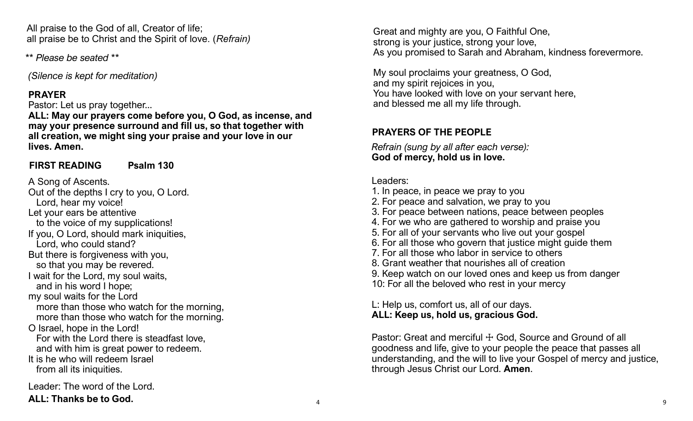All praise to the God of all, Creator of life; all praise be to Christ and the Spirit of love. (*Refrain)*

*\*\* Please be seated \*\**

*(Silence is kept for meditation)*

### **PRAYER**

Pastor: Let us pray together...

**ALL: May our prayers come before you, O God, as incense, and may your presence surround and fill us, so that together with all creation, we might sing your praise and your love in our lives. Amen.**

# **FIRST READING Psalm 130**

A Song of Ascents. Out of the depths I cry to you, O Lord. Lord, hear my voice! Let your ears be attentive to the voice of my supplications! If you, O Lord, should mark iniquities, Lord, who could stand? But there is forgiveness with you, so that you may be revered. I wait for the Lord, my soul waits, and in his word I hope; my soul waits for the Lord more than those who watch for the morning, more than those who watch for the morning. O Israel, hope in the Lord! For with the Lord there is steadfast love, and with him is great power to redeem. It is he who will redeem Israel from all its iniquities. Leader: The word of the Lord.

**ALL: Thanks be to God.**

Great and mighty are you, O Faithful One, strong is your justice, strong your love, As you promised to Sarah and Abraham, kindness forevermore.

My soul proclaims your greatness, O God, and my spirit rejoices in you, You have looked with love on your servant here, and blessed me all my life through.

# **PRAYERS OF THE PEOPLE**

*Refrain (sung by all after each verse):* **God of mercy, hold us in love.**

# Leaders:

- 1. In peace, in peace we pray to you
- 2. For peace and salvation, we pray to you
- 3. For peace between nations, peace between peoples
- 4. For we who are gathered to worship and praise you
- 5. For all of your servants who live out your gospel
- 6. For all those who govern that justice might guide them
- 7. For all those who labor in service to others
- 8. Grant weather that nourishes all of creation
- 9. Keep watch on our loved ones and keep us from danger
- 10: For all the beloved who rest in your mercy

L: Help us, comfort us, all of our days. **ALL: Keep us, hold us, gracious God.**

Pastor: Great and merciful + God, Source and Ground of all goodness and life, give to your people the peace that passes all understanding, and the will to live your Gospel of mercy and justice, through Jesus Christ our Lord. **Amen**.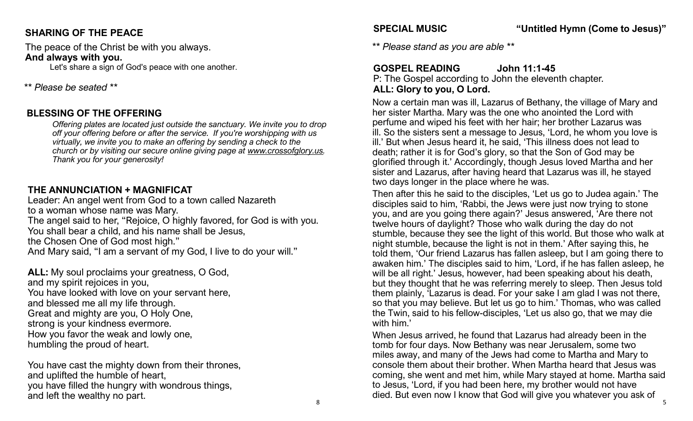# **SHARING OF THE PEACE**

The peace of the Christ be with you always. **And always with you.**

Let's share a sign of God's peace with one another.

### *\*\* Please be seated \*\**

# **BLESSING OF THE OFFERING**

*Offering plates are located just outside the sanctuary. We invite you to drop off your offering before or after the service. If you're worshipping with us virtually, we invite you to make an offering by sending a check to the church or by visiting our secure online giving page at [www.crossofglory.us.](http://www.crossofglory.us/) Thank you for your generosity!*

# **THE ANNUNCIATION + MAGNIFICAT**

Leader: An angel went from God to a town called Nazareth to a woman whose name was Mary. The angel said to her, "Rejoice, O highly favored, for God is with you. You shall bear a child, and his name shall be Jesus, the Chosen One of God most high." And Mary said, "I am a servant of my God, I live to do your will."

**ALL:** My soul proclaims your greatness, O God, and my spirit rejoices in you, You have looked with love on your servant here, and blessed me all my life through. Great and mighty are you, O Holy One, strong is your kindness evermore. How you favor the weak and lowly one, humbling the proud of heart.

You have cast the mighty down from their thrones, and uplifted the humble of heart, you have filled the hungry with wondrous things, and left the wealthy no part.

**SPECIAL MUSIC "Untitled Hymn (Come to Jesus)"**

*\*\* Please stand as you are able \*\**

# **GOSPEL READING John 11:1-45**

P: The Gospel according to John the eleventh chapter. **ALL: Glory to you, O Lord.**

Now a certain man was ill, Lazarus of Bethany, the village of Mary and her sister Martha. Mary was the one who anointed the Lord with perfume and wiped his feet with her hair; her brother Lazarus was ill. So the sisters sent a message to Jesus, 'Lord, he whom you love is ill.' But when Jesus heard it, he said, 'This illness does not lead to death; rather it is for God's glory, so that the Son of God may be glorified through it.' Accordingly, though Jesus loved Martha and her sister and Lazarus, after having heard that Lazarus was ill, he stayed two days longer in the place where he was.

Then after this he said to the disciples, 'Let us go to Judea again.' The disciples said to him, 'Rabbi, the Jews were just now trying to stone you, and are you going there again?' Jesus answered, 'Are there not twelve hours of daylight? Those who walk during the day do not stumble, because they see the light of this world. But those who walk at night stumble, because the light is not in them.' After saying this, he told them, 'Our friend Lazarus has fallen asleep, but I am going there to awaken him.' The disciples said to him, 'Lord, if he has fallen asleep, he will be all right.' Jesus, however, had been speaking about his death, but they thought that he was referring merely to sleep. Then Jesus told them plainly, 'Lazarus is dead. For your sake I am glad I was not there, so that you may believe. But let us go to him.' Thomas, who was called the Twin, said to his fellow-disciples, 'Let us also go, that we may die with him.'

When Jesus arrived, he found that Lazarus had already been in the tomb for four days. Now Bethany was near Jerusalem, some two miles away, and many of the Jews had come to Martha and Mary to console them about their brother. When Martha heard that Jesus was coming, she went and met him, while Mary stayed at home. Martha said to Jesus, 'Lord, if you had been here, my brother would not have died. But even now I know that God will give you whatever you ask of